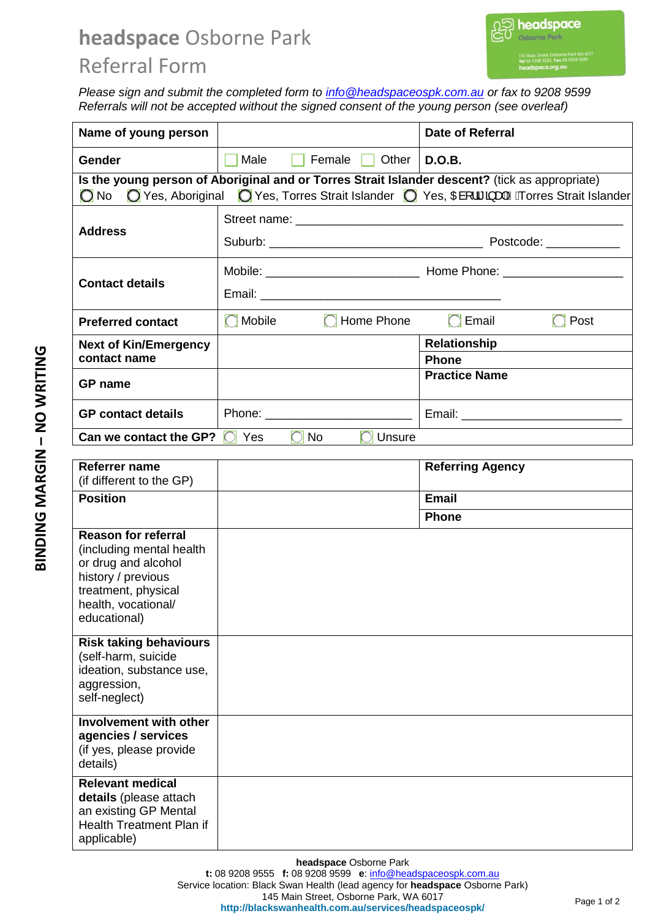## **headspace** Osborne Park Referral Form

*Please sign and submit the completed form to [info@headspaceospk.com.au](mailto:info@headspaceospk.com.au) or fax to 9208 9599 Referrals will not be accepted without the signed consent of the young person (see overleaf)* 

| Name of young person                                                                                                                                                                                             |                                    | <b>Date of Referral</b>              |  |
|------------------------------------------------------------------------------------------------------------------------------------------------------------------------------------------------------------------|------------------------------------|--------------------------------------|--|
| Gender                                                                                                                                                                                                           | Male<br>Female<br>Other            | D.O.B.                               |  |
| Is the young person of Aboriginal and or Torres Strait Islander descent? (tick as appropriate)<br>◯ Yes, Torres Strait Islander ◯ Yes, Œl ¦ã a a ASA orres Strait Islander<br>$\bigcirc$ No<br>◯ Yes, Aboriginal |                                    |                                      |  |
| <b>Address</b>                                                                                                                                                                                                   |                                    |                                      |  |
|                                                                                                                                                                                                                  |                                    |                                      |  |
| <b>Contact details</b>                                                                                                                                                                                           |                                    |                                      |  |
|                                                                                                                                                                                                                  |                                    |                                      |  |
| <b>Preferred contact</b>                                                                                                                                                                                         | Home Phone<br>$\bigcap$ Mobile     | $\bigcap$ Email<br>$\bigcap$ Post    |  |
| <b>Next of Kin/Emergency</b><br>contact name                                                                                                                                                                     |                                    | <b>Relationship</b>                  |  |
|                                                                                                                                                                                                                  |                                    | <b>Phone</b><br><b>Practice Name</b> |  |
| <b>GP</b> name                                                                                                                                                                                                   |                                    |                                      |  |
| <b>GP</b> contact details                                                                                                                                                                                        | Phone: ___________________________ |                                      |  |
| Can we contact the GP?                                                                                                                                                                                           | Yes<br><b>No</b><br>Unsure         |                                      |  |
| Referrer name                                                                                                                                                                                                    |                                    | <b>Referring Agency</b>              |  |
| (if different to the GP)                                                                                                                                                                                         |                                    |                                      |  |
| <b>Position</b>                                                                                                                                                                                                  |                                    | <b>Email</b>                         |  |
|                                                                                                                                                                                                                  |                                    | <b>Phone</b>                         |  |
| <b>Reason for referral</b><br>(including mental health                                                                                                                                                           |                                    |                                      |  |
| or drug and alcohol                                                                                                                                                                                              |                                    |                                      |  |
| history / previous                                                                                                                                                                                               |                                    |                                      |  |
| treatment, physical<br>health, vocational/                                                                                                                                                                       |                                    |                                      |  |
| educational)                                                                                                                                                                                                     |                                    |                                      |  |
| <b>Risk taking behaviours</b>                                                                                                                                                                                    |                                    |                                      |  |
| (self-harm, suicide                                                                                                                                                                                              |                                    |                                      |  |
| ideation, substance use,<br>aggression,                                                                                                                                                                          |                                    |                                      |  |
| self-neglect)                                                                                                                                                                                                    |                                    |                                      |  |
| <b>Involvement with other</b>                                                                                                                                                                                    |                                    |                                      |  |
| agencies / services                                                                                                                                                                                              |                                    |                                      |  |
| (if yes, please provide<br>details)                                                                                                                                                                              |                                    |                                      |  |
| <b>Relevant medical</b>                                                                                                                                                                                          |                                    |                                      |  |
| details (please attach                                                                                                                                                                                           |                                    |                                      |  |
| an existing GP Mental<br>Health Treatment Plan if                                                                                                                                                                |                                    |                                      |  |
| applicable)                                                                                                                                                                                                      |                                    |                                      |  |

**headspace** Osborne Park **t:** 08 9208 9555 **f:** 08 9208 9599 **e**[: info@headspaceospk.com.au](mailto:info@headspaceospk.com.au)  Service location: Black Swan Health (lead agency for **headspace** Osborne Park) 145 Main Street, Osborne Park, WA 6017 145 Main Street, Osborne Park, WA 6017<br>http://blackswanhealth.com.au/services/headspaceospk/<br>**http://blackswanhealth.com.au/services/headspaceospk/**